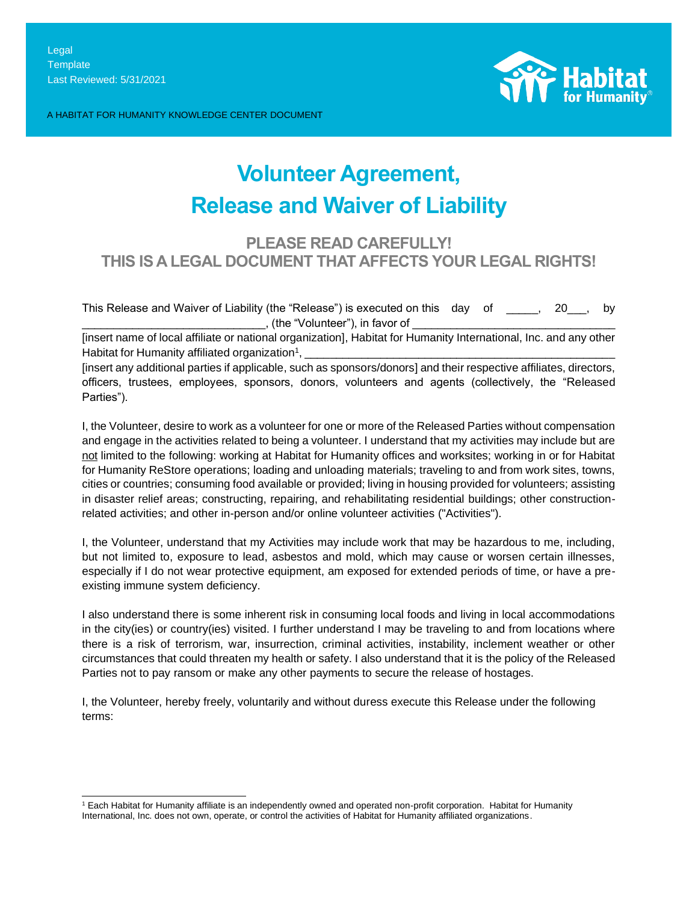A HABITAT FOR HUMANITY KNOWLEDGE CENTER DOCUMENT



# **Volunteer Agreement, Release and Waiver of Liability**

# **PLEASE READ CAREFULLY! THIS IS A LEGAL DOCUMENT THAT AFFECTS YOUR LEGAL RIGHTS!**

This Release and Waiver of Liability (the "Release") is executed on this day of \_\_\_\_\_, 20\_\_\_, by  $\Box$ , (the "Volunteer"), in favor of  $\Box$ 

[insert name of local affiliate or national organization], Habitat for Humanity International, Inc. and any other Habitat for Humanity affiliated organization<sup>1</sup>, , \_\_\_\_\_\_\_\_\_\_\_\_\_\_\_\_\_\_\_\_\_\_\_\_\_\_\_\_\_\_\_\_\_\_\_\_\_\_\_\_\_\_\_\_\_\_\_\_\_

[insert any additional parties if applicable, such as sponsors/donors] and their respective affiliates, directors, officers, trustees, employees, sponsors, donors, volunteers and agents (collectively, the "Released Parties").

I, the Volunteer, desire to work as a volunteer for one or more of the Released Parties without compensation and engage in the activities related to being a volunteer. I understand that my activities may include but are not limited to the following: working at Habitat for Humanity offices and worksites; working in or for Habitat for Humanity ReStore operations; loading and unloading materials; traveling to and from work sites, towns, cities or countries; consuming food available or provided; living in housing provided for volunteers; assisting in disaster relief areas; constructing, repairing, and rehabilitating residential buildings; other constructionrelated activities; and other in-person and/or online volunteer activities ("Activities").

I, the Volunteer, understand that my Activities may include work that may be hazardous to me, including, but not limited to, exposure to lead, asbestos and mold, which may cause or worsen certain illnesses, especially if I do not wear protective equipment, am exposed for extended periods of time, or have a preexisting immune system deficiency.

I also understand there is some inherent risk in consuming local foods and living in local accommodations in the city(ies) or country(ies) visited. I further understand I may be traveling to and from locations where there is a risk of terrorism, war, insurrection, criminal activities, instability, inclement weather or other circumstances that could threaten my health or safety. I also understand that it is the policy of the Released Parties not to pay ransom or make any other payments to secure the release of hostages.

I, the Volunteer, hereby freely, voluntarily and without duress execute this Release under the following terms:

<sup>1</sup> Each Habitat for Humanity affiliate is an independently owned and operated non-profit corporation. Habitat for Humanity International, Inc. does not own, operate, or control the activities of Habitat for Humanity affiliated organizations.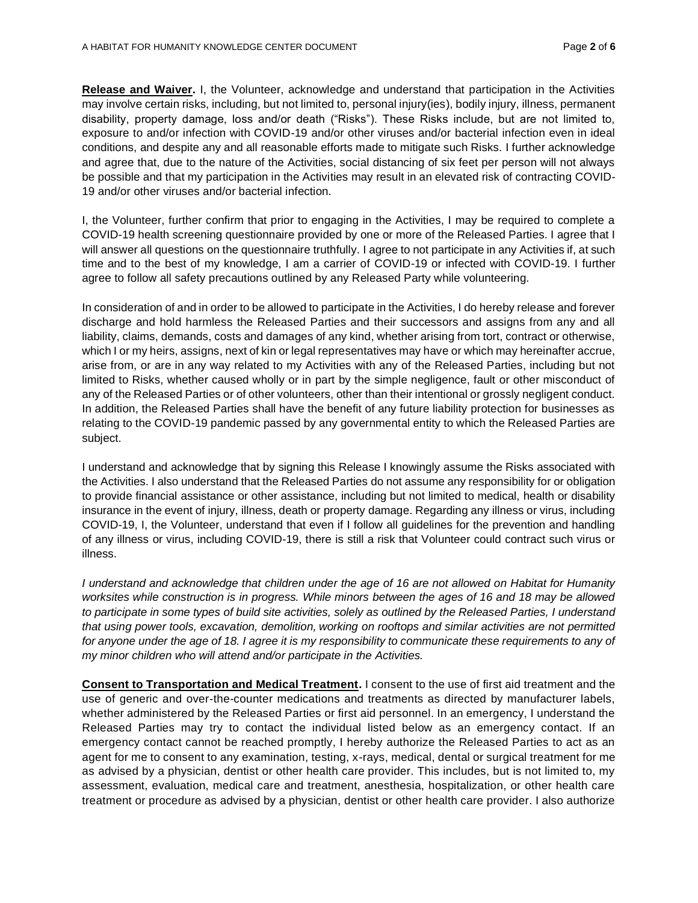**Release and Waiver.** I, the Volunteer, acknowledge and understand that participation in the Activities may involve certain risks, including, but not limited to, personal injury(ies), bodily injury, illness, permanent disability, property damage, loss and/or death ("Risks"). These Risks include, but are not limited to, exposure to and/or infection with COVID-19 and/or other viruses and/or bacterial infection even in ideal conditions, and despite any and all reasonable efforts made to mitigate such Risks. I further acknowledge and agree that, due to the nature of the Activities, social distancing of six feet per person will not always be possible and that my participation in the Activities may result in an elevated risk of contracting COVID-19 and/or other viruses and/or bacterial infection.

I, the Volunteer, further confirm that prior to engaging in the Activities, I may be required to complete a COVID-19 health screening questionnaire provided by one or more of the Released Parties. I agree that I will answer all questions on the questionnaire truthfully. I agree to not participate in any Activities if, at such time and to the best of my knowledge, I am a carrier of COVID-19 or infected with COVID-19. I further agree to follow all safety precautions outlined by any Released Party while volunteering.

In consideration of and in order to be allowed to participate in the Activities, I do hereby release and forever discharge and hold harmless the Released Parties and their successors and assigns from any and all liability, claims, demands, costs and damages of any kind, whether arising from tort, contract or otherwise, which I or my heirs, assigns, next of kin or legal representatives may have or which may hereinafter accrue, arise from, or are in any way related to my Activities with any of the Released Parties, including but not limited to Risks, whether caused wholly or in part by the simple negligence, fault or other misconduct of any of the Released Parties or of other volunteers, other than their intentional or grossly negligent conduct. In addition, the Released Parties shall have the benefit of any future liability protection for businesses as relating to the COVID-19 pandemic passed by any governmental entity to which the Released Parties are subject.

I understand and acknowledge that by signing this Release I knowingly assume the Risks associated with the Activities. I also understand that the Released Parties do not assume any responsibility for or obligation to provide financial assistance or other assistance, including but not limited to medical, health or disability insurance in the event of injury, illness, death or property damage. Regarding any illness or virus, including COVID-19, I, the Volunteer, understand that even if I follow all guidelines for the prevention and handling of any illness or virus, including COVID-19, there is still a risk that Volunteer could contract such virus or illness.

*I understand and acknowledge that children under the age of 16 are not allowed on Habitat for Humanity worksites while construction is in progress. While minors between the ages of 16 and 18 may be allowed to participate in some types of build site activities, solely as outlined by the Released Parties, I understand that using power tools, excavation, demolition, working on rooftops and similar activities are not permitted*  for anyone under the age of 18. I agree it is my responsibility to communicate these requirements to any of *my minor children who will attend and/or participate in the Activities.*

**Consent to Transportation and Medical Treatment.** I consent to the use of first aid treatment and the use of generic and over-the-counter medications and treatments as directed by manufacturer labels, whether administered by the Released Parties or first aid personnel. In an emergency, I understand the Released Parties may try to contact the individual listed below as an emergency contact. If an emergency contact cannot be reached promptly, I hereby authorize the Released Parties to act as an agent for me to consent to any examination, testing, x-rays, medical, dental or surgical treatment for me as advised by a physician, dentist or other health care provider. This includes, but is not limited to, my assessment, evaluation, medical care and treatment, anesthesia, hospitalization, or other health care treatment or procedure as advised by a physician, dentist or other health care provider. I also authorize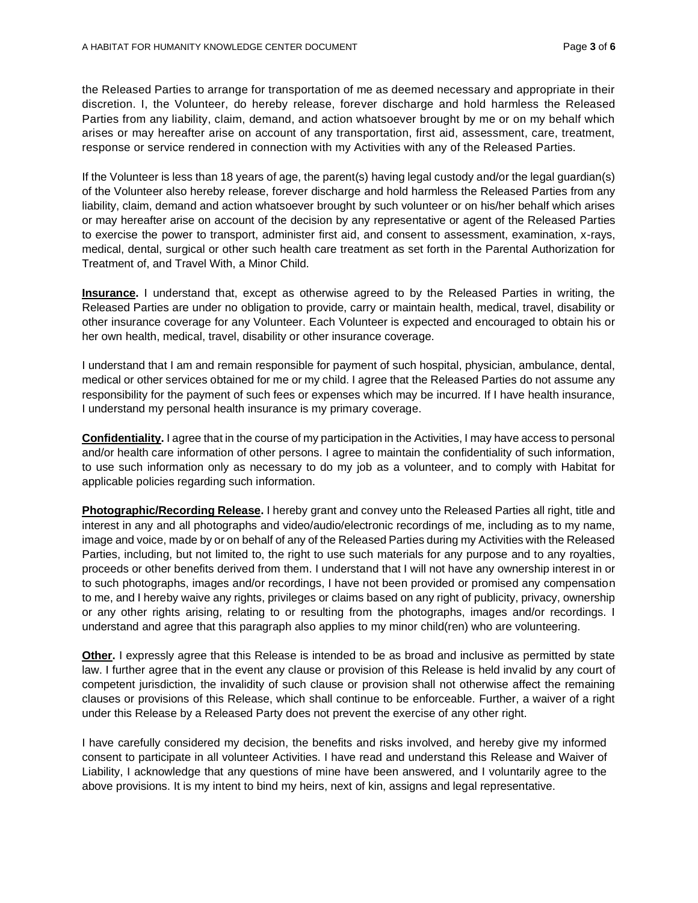the Released Parties to arrange for transportation of me as deemed necessary and appropriate in their discretion. I, the Volunteer, do hereby release, forever discharge and hold harmless the Released Parties from any liability, claim, demand, and action whatsoever brought by me or on my behalf which arises or may hereafter arise on account of any transportation, first aid, assessment, care, treatment, response or service rendered in connection with my Activities with any of the Released Parties.

If the Volunteer is less than 18 years of age, the parent(s) having legal custody and/or the legal guardian(s) of the Volunteer also hereby release, forever discharge and hold harmless the Released Parties from any liability, claim, demand and action whatsoever brought by such volunteer or on his/her behalf which arises or may hereafter arise on account of the decision by any representative or agent of the Released Parties to exercise the power to transport, administer first aid, and consent to assessment, examination, x-rays, medical, dental, surgical or other such health care treatment as set forth in the Parental Authorization for Treatment of, and Travel With, a Minor Child.

**Insurance.** I understand that, except as otherwise agreed to by the Released Parties in writing, the Released Parties are under no obligation to provide, carry or maintain health, medical, travel, disability or other insurance coverage for any Volunteer. Each Volunteer is expected and encouraged to obtain his or her own health, medical, travel, disability or other insurance coverage.

I understand that I am and remain responsible for payment of such hospital, physician, ambulance, dental, medical or other services obtained for me or my child. I agree that the Released Parties do not assume any responsibility for the payment of such fees or expenses which may be incurred. If I have health insurance, I understand my personal health insurance is my primary coverage.

**Confidentiality.** I agree that in the course of my participation in the Activities, I may have access to personal and/or health care information of other persons. I agree to maintain the confidentiality of such information, to use such information only as necessary to do my job as a volunteer, and to comply with Habitat for applicable policies regarding such information.

**Photographic/Recording Release.** I hereby grant and convey unto the Released Parties all right, title and interest in any and all photographs and video/audio/electronic recordings of me, including as to my name, image and voice, made by or on behalf of any of the Released Parties during my Activities with the Released Parties, including, but not limited to, the right to use such materials for any purpose and to any royalties, proceeds or other benefits derived from them. I understand that I will not have any ownership interest in or to such photographs, images and/or recordings, I have not been provided or promised any compensation to me, and I hereby waive any rights, privileges or claims based on any right of publicity, privacy, ownership or any other rights arising, relating to or resulting from the photographs, images and/or recordings. I understand and agree that this paragraph also applies to my minor child(ren) who are volunteering.

**Other.** I expressly agree that this Release is intended to be as broad and inclusive as permitted by state law. I further agree that in the event any clause or provision of this Release is held invalid by any court of competent jurisdiction, the invalidity of such clause or provision shall not otherwise affect the remaining clauses or provisions of this Release, which shall continue to be enforceable. Further, a waiver of a right under this Release by a Released Party does not prevent the exercise of any other right.

I have carefully considered my decision, the benefits and risks involved, and hereby give my informed consent to participate in all volunteer Activities. I have read and understand this Release and Waiver of Liability, I acknowledge that any questions of mine have been answered, and I voluntarily agree to the above provisions. It is my intent to bind my heirs, next of kin, assigns and legal representative.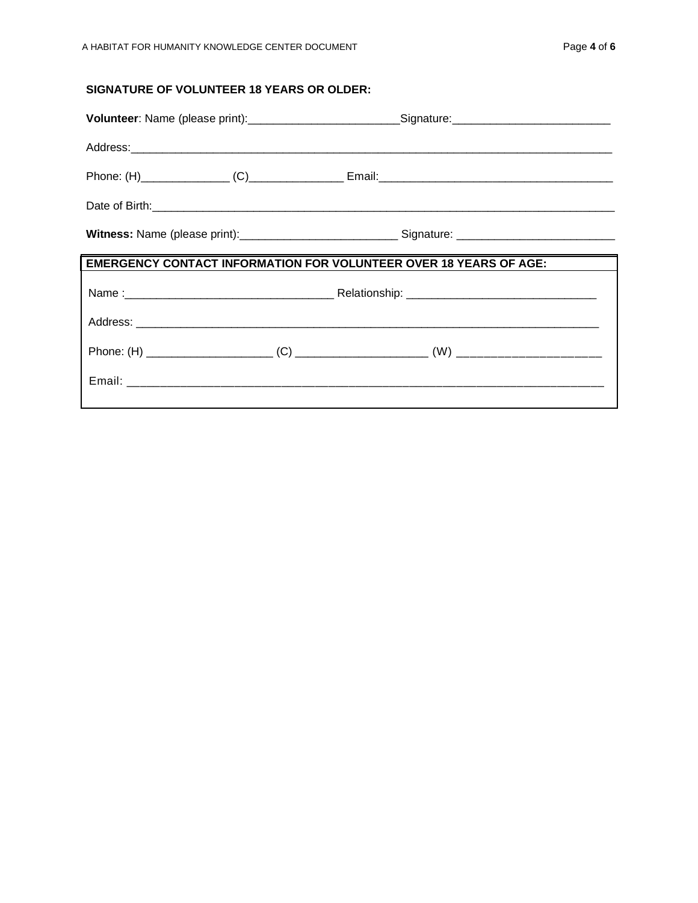# **SIGNATURE OF VOLUNTEER 18 YEARS OR OLDER:**

|                                                                                                 | Volunteer: Name (please print):____________________________Signature:______________________________ |
|-------------------------------------------------------------------------------------------------|-----------------------------------------------------------------------------------------------------|
|                                                                                                 |                                                                                                     |
|                                                                                                 |                                                                                                     |
| Date of Birth: <u>Communications and the contract of the contract of the contract of Birth:</u> |                                                                                                     |
|                                                                                                 |                                                                                                     |
| <b>EMERGENCY CONTACT INFORMATION FOR VOLUNTEER OVER 18 YEARS OF AGE:</b>                        |                                                                                                     |
|                                                                                                 |                                                                                                     |
|                                                                                                 |                                                                                                     |
|                                                                                                 |                                                                                                     |
|                                                                                                 |                                                                                                     |
|                                                                                                 |                                                                                                     |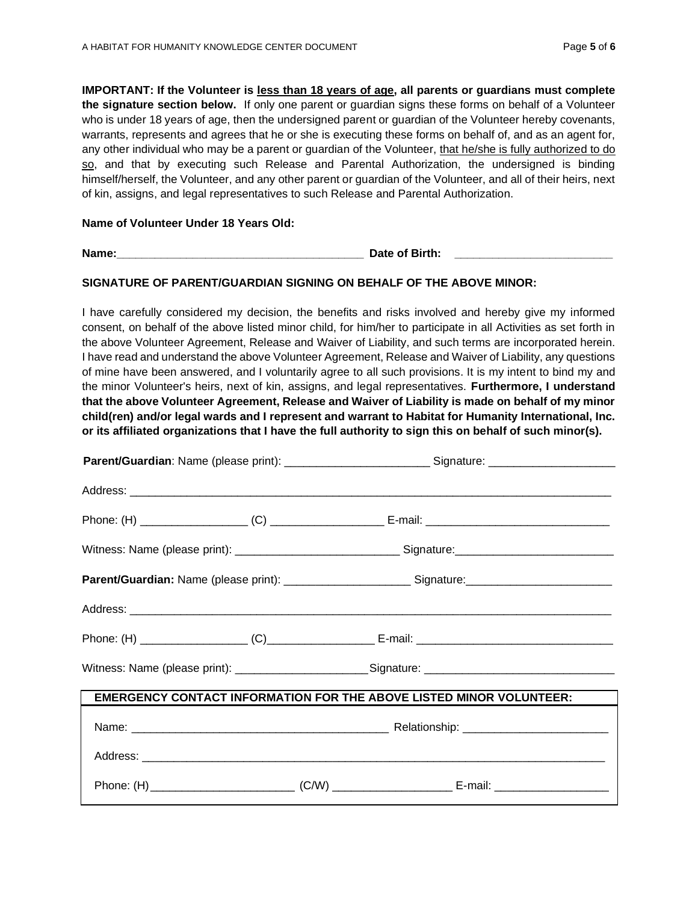**IMPORTANT: If the Volunteer is less than 18 years of age, all parents or guardians must complete the signature section below.** If only one parent or guardian signs these forms on behalf of a Volunteer who is under 18 years of age, then the undersigned parent or guardian of the Volunteer hereby covenants, warrants, represents and agrees that he or she is executing these forms on behalf of, and as an agent for, any other individual who may be a parent or guardian of the Volunteer, that he/she is fully authorized to do so, and that by executing such Release and Parental Authorization, the undersigned is binding himself/herself, the Volunteer, and any other parent or guardian of the Volunteer, and all of their heirs, next of kin, assigns, and legal representatives to such Release and Parental Authorization.

#### **Name of Volunteer Under 18 Years Old:**

**Name: Date of Birth: Date of Birth: Date of Birth: Date of Birth: Date of Birth: D** 

### **SIGNATURE OF PARENT/GUARDIAN SIGNING ON BEHALF OF THE ABOVE MINOR:**

I have carefully considered my decision, the benefits and risks involved and hereby give my informed consent, on behalf of the above listed minor child, for him/her to participate in all Activities as set forth in the above Volunteer Agreement, Release and Waiver of Liability, and such terms are incorporated herein. I have read and understand the above Volunteer Agreement, Release and Waiver of Liability, any questions of mine have been answered, and I voluntarily agree to all such provisions. It is my intent to bind my and the minor Volunteer's heirs, next of kin, assigns, and legal representatives. **Furthermore, I understand that the above Volunteer Agreement, Release and Waiver of Liability is made on behalf of my minor child(ren) and/or legal wards and I represent and warrant to Habitat for Humanity International, Inc. or its affiliated organizations that I have the full authority to sign this on behalf of such minor(s).**

|  | Parent/Guardian: Name (please print): _______________________________Signature: ______________________________ |  |
|--|----------------------------------------------------------------------------------------------------------------|--|
|  |                                                                                                                |  |
|  |                                                                                                                |  |
|  | Witness: Name (please print): _______________________________Signature: ____________________________           |  |
|  | Parent/Guardian: Name (please print): ___________________________Signature: __________________________________ |  |
|  |                                                                                                                |  |
|  |                                                                                                                |  |
|  | Witness: Name (please print): __________________________Signature: _________________________________           |  |
|  | <b>EMERGENCY CONTACT INFORMATION FOR THE ABOVE LISTED MINOR VOLUNTEER:</b>                                     |  |
|  |                                                                                                                |  |
|  |                                                                                                                |  |
|  |                                                                                                                |  |